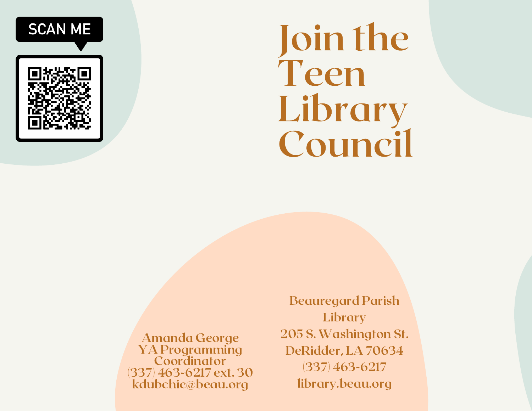

Join the Teen Library Council

Amanda George YA Programming **Coordinator** (337) 463-6217 ext. 30 kdubchic@beau.org

Beauregard Parish **Library** 205 S. Washington St. DeRidder, LA 70634 (337) 463-6217 library.beau.org